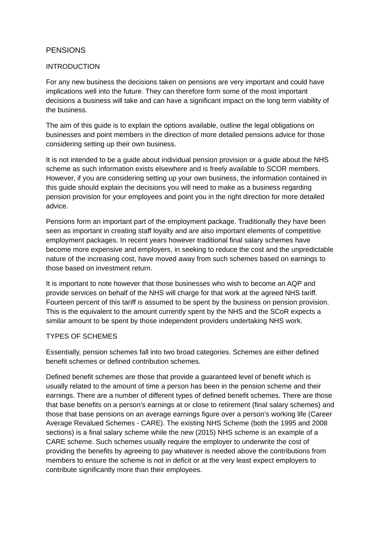# **PENSIONS**

#### INTRODUCTION

For any new business the decisions taken on pensions are very important and could have implications well into the future. They can therefore form some of the most important decisions a business will take and can have a significant impact on the long term viability of the business.

The aim of this guide is to explain the options available, outline the legal obligations on businesses and point members in the direction of more detailed pensions advice for those considering setting up their own business.

It is not intended to be a guide about individual pension provision or a guide about the NHS scheme as such information exists elsewhere and is freely available to SCOR members. However, if you are considering setting up your own business, the information contained in this guide should explain the decisions you will need to make as a business regarding pension provision for your employees and point you in the right direction for more detailed advice.

Pensions form an important part of the employment package. Traditionally they have been seen as important in creating staff loyalty and are also important elements of competitive employment packages. In recent years however traditional final salary schemes have become more expensive and employers, in seeking to reduce the cost and the unpredictable nature of the increasing cost, have moved away from such schemes based on earnings to those based on investment return.

It is important to note however that those businesses who wish to become an AQP and provide services on behalf of the NHS will charge for that work at the agreed NHS tariff. Fourteen percent of this tariff is assumed to be spent by the business on pension provision. This is the equivalent to the amount currently spent by the NHS and the SCoR expects a similar amount to be spent by those independent providers undertaking NHS work.

#### TYPES OF SCHEMES

Essentially, pension schemes fall into two broad categories. Schemes are either defined benefit schemes or defined contribution schemes.

Defined benefit schemes are those that provide a guaranteed level of benefit which is usually related to the amount of time a person has been in the pension scheme and their earnings. There are a number of different types of defined benefit schemes. There are those that base benefits on a person's earnings at or close to retirement (final salary schemes) and those that base pensions on an average earnings figure over a person's working life (Career Average Revalued Schemes - CARE). The existing NHS Scheme (both the 1995 and 2008 sections) is a final salary scheme while the new (2015) NHS scheme is an example of a CARE scheme. Such schemes usually require the employer to underwrite the cost of providing the benefits by agreeing to pay whatever is needed above the contributions from members to ensure the scheme is not in deficit or at the very least expect employers to contribute significantly more than their employees.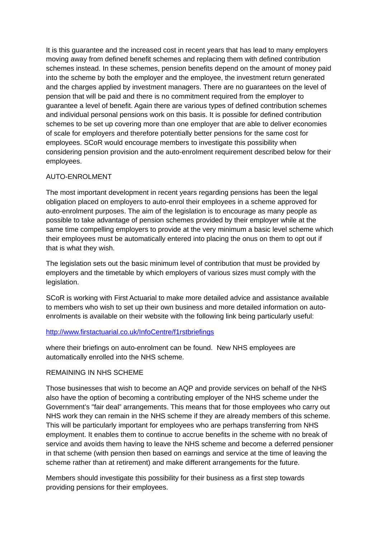It is this guarantee and the increased cost in recent years that has lead to many employers moving away from defined benefit schemes and replacing them with defined contribution schemes instead. In these schemes, pension benefits depend on the amount of money paid into the scheme by both the employer and the employee, the investment return generated and the charges applied by investment managers. There are no guarantees on the level of pension that will be paid and there is no commitment required from the employer to guarantee a level of benefit. Again there are various types of defined contribution schemes and individual personal pensions work on this basis. It is possible for defined contribution schemes to be set up covering more than one employer that are able to deliver economies of scale for employers and therefore potentially better pensions for the same cost for employees. SCoR would encourage members to investigate this possibility when considering pension provision and the auto-enrolment requirement described below for their employees.

# AUTO-ENROLMENT

The most important development in recent years regarding pensions has been the legal obligation placed on employers to auto-enrol their employees in a scheme approved for auto-enrolment purposes. The aim of the legislation is to encourage as many people as possible to take advantage of pension schemes provided by their employer while at the same time compelling employers to provide at the very minimum a basic level scheme which their employees must be automatically entered into placing the onus on them to opt out if that is what they wish.

The legislation sets out the basic minimum level of contribution that must be provided by employers and the timetable by which employers of various sizes must comply with the legislation.

SCoR is working with First Actuarial to make more detailed advice and assistance available to members who wish to set up their own business and more detailed information on autoenrolments is available on their website with the following link being particularly useful:

## <http://www.firstactuarial.co.uk/InfoCentre/f1rstbriefings>

where their briefings on auto-enrolment can be found. New NHS employees are automatically enrolled into the NHS scheme.

## REMAINING IN NHS SCHEME

Those businesses that wish to become an AQP and provide services on behalf of the NHS also have the option of becoming a contributing employer of the NHS scheme under the Government's "fair deal" arrangements. This means that for those employees who carry out NHS work they can remain in the NHS scheme if they are already members of this scheme. This will be particularly important for employees who are perhaps transferring from NHS employment. It enables them to continue to accrue benefits in the scheme with no break of service and avoids them having to leave the NHS scheme and become a deferred pensioner in that scheme (with pension then based on earnings and service at the time of leaving the scheme rather than at retirement) and make different arrangements for the future.

Members should investigate this possibility for their business as a first step towards providing pensions for their employees.